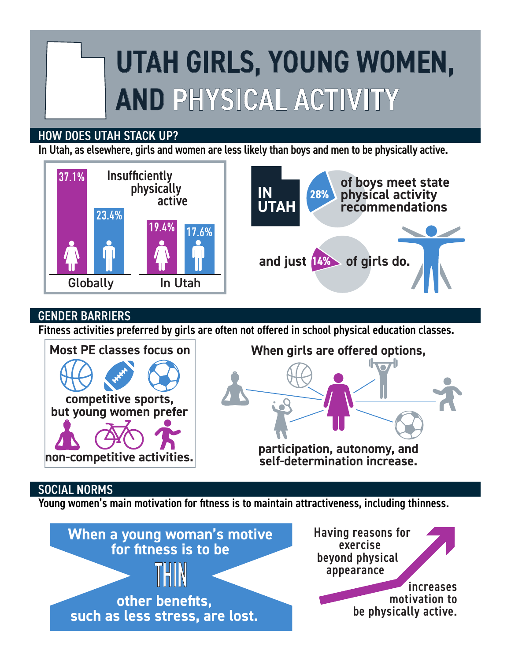# UTAH GIRLS, YOUNG WOMEN, AND PHYSICAL ACTIVITY

## HOW DOES UTAH STACK UP?

In Utah, as elsewhere, girls and women are less likely than boys and men to be physically active.



## GENDER BARRIERS

Fitness activities preferred by girls are often not offered in school physical education classes.



## SOCIAL NORMS

Young women's main motivation for fitness is to maintain attractiveness, including thinness.